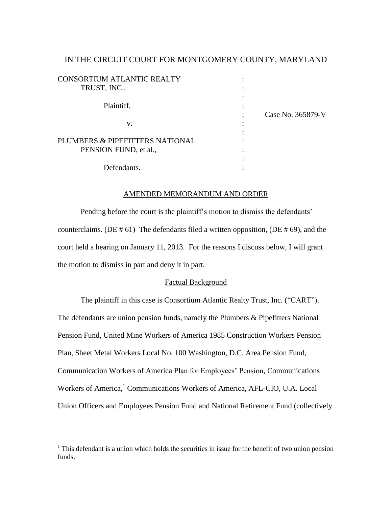# IN THE CIRCUIT COURT FOR MONTGOMERY COUNTY, MARYLAND

| <b>CONSORTIUM ATLANTIC REALTY</b> |                   |
|-----------------------------------|-------------------|
| TRUST, INC.,                      |                   |
| Plaintiff,                        |                   |
|                                   | Case No. 365879-V |
| v.                                |                   |
|                                   |                   |
| PLUMBERS & PIPEFITTERS NATIONAL   |                   |
| PENSION FUND, et al.,             |                   |
|                                   |                   |
| Defendants.                       |                   |

# AMENDED MEMORANDUM AND ORDER

Pending before the court is the plaintiff's motion to dismiss the defendants' counterclaims. (DE  $# 61$ ) The defendants filed a written opposition, (DE  $# 69$ ), and the court held a hearing on January 11, 2013. For the reasons I discuss below, I will grant the motion to dismiss in part and deny it in part.

## Factual Background

The plaintiff in this case is Consortium Atlantic Realty Trust, Inc. ("CART"). The defendants are union pension funds, namely the Plumbers & Pipefitters National Pension Fund, United Mine Workers of America 1985 Construction Workers Pension Plan, Sheet Metal Workers Local No. 100 Washington, D.C. Area Pension Fund, Communication Workers of America Plan for Employees" Pension, Communications Workers of America,<sup>1</sup> Communications Workers of America, AFL-CIO, U.A. Local Union Officers and Employees Pension Fund and National Retirement Fund (collectively

 $1$ <sup>1</sup> This defendant is a union which holds the securities in issue for the benefit of two union pension funds.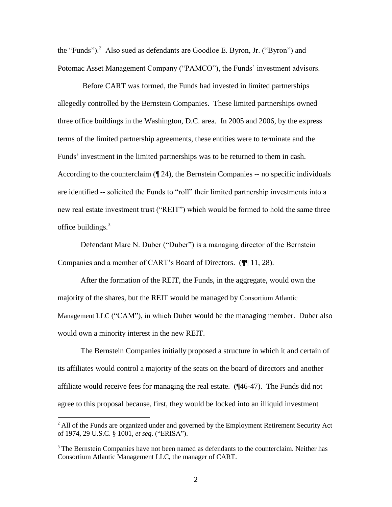the "Funds"). $^2$  Also sued as defendants are Goodloe E. Byron, Jr. ("Byron") and Potomac Asset Management Company ("PAMCO"), the Funds' investment advisors.

Before CART was formed, the Funds had invested in limited partnerships allegedly controlled by the Bernstein Companies. These limited partnerships owned three office buildings in the Washington, D.C. area. In 2005 and 2006, by the express terms of the limited partnership agreements, these entities were to terminate and the Funds" investment in the limited partnerships was to be returned to them in cash. According to the counterclaim  $(\P 24)$ , the Bernstein Companies -- no specific individuals are identified -- solicited the Funds to "roll" their limited partnership investments into a new real estate investment trust ("REIT") which would be formed to hold the same three office buildings. $3$ 

Defendant Marc N. Duber ("Duber") is a managing director of the Bernstein Companies and a member of CART"s Board of Directors. (¶¶ 11, 28).

After the formation of the REIT, the Funds, in the aggregate, would own the majority of the shares, but the REIT would be managed by Consortium Atlantic Management LLC ("CAM"), in which Duber would be the managing member. Duber also would own a minority interest in the new REIT.

The Bernstein Companies initially proposed a structure in which it and certain of its affiliates would control a majority of the seats on the board of directors and another affiliate would receive fees for managing the real estate. (¶46-47). The Funds did not agree to this proposal because, first, they would be locked into an illiquid investment

 $<sup>2</sup>$  All of the Funds are organized under and governed by the Employment Retirement Security Act</sup> of 1974, 29 U.S.C. § 1001, *et seq*. ("ERISA").

<sup>&</sup>lt;sup>3</sup> The Bernstein Companies have not been named as defendants to the counterclaim. Neither has Consortium Atlantic Management LLC, the manager of CART.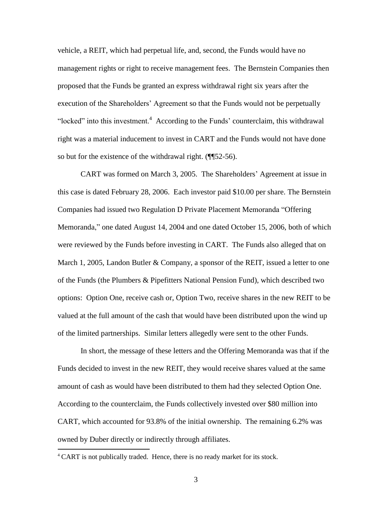vehicle, a REIT, which had perpetual life, and, second, the Funds would have no management rights or right to receive management fees. The Bernstein Companies then proposed that the Funds be granted an express withdrawal right six years after the execution of the Shareholders" Agreement so that the Funds would not be perpetually "locked" into this investment. $4$  According to the Funds' counterclaim, this withdrawal right was a material inducement to invest in CART and the Funds would not have done so but for the existence of the withdrawal right. (¶¶52-56).

CART was formed on March 3, 2005. The Shareholders" Agreement at issue in this case is dated February 28, 2006. Each investor paid \$10.00 per share. The Bernstein Companies had issued two Regulation D Private Placement Memoranda "Offering Memoranda," one dated August 14, 2004 and one dated October 15, 2006, both of which were reviewed by the Funds before investing in CART. The Funds also alleged that on March 1, 2005, Landon Butler & Company, a sponsor of the REIT, issued a letter to one of the Funds (the Plumbers & Pipefitters National Pension Fund), which described two options: Option One, receive cash or, Option Two, receive shares in the new REIT to be valued at the full amount of the cash that would have been distributed upon the wind up of the limited partnerships. Similar letters allegedly were sent to the other Funds.

In short, the message of these letters and the Offering Memoranda was that if the Funds decided to invest in the new REIT, they would receive shares valued at the same amount of cash as would have been distributed to them had they selected Option One. According to the counterclaim, the Funds collectively invested over \$80 million into CART, which accounted for 93.8% of the initial ownership. The remaining 6.2% was owned by Duber directly or indirectly through affiliates.

<sup>&</sup>lt;sup>4</sup> CART is not publically traded. Hence, there is no ready market for its stock.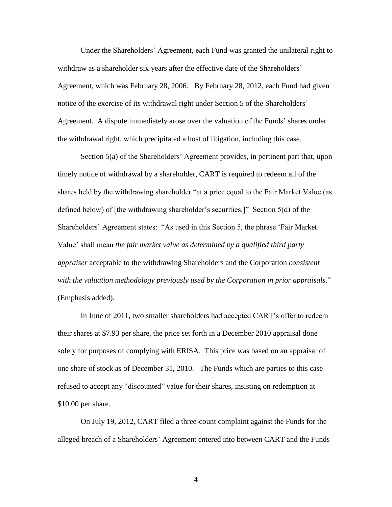Under the Shareholders" Agreement, each Fund was granted the unilateral right to withdraw as a shareholder six years after the effective date of the Shareholders' Agreement, which was February 28, 2006. By February 28, 2012, each Fund had given notice of the exercise of its withdrawal right under Section 5 of the Shareholders" Agreement. A dispute immediately arose over the valuation of the Funds" shares under the withdrawal right, which precipitated a host of litigation, including this case.

Section 5(a) of the Shareholders' Agreement provides, in pertinent part that, upon timely notice of withdrawal by a shareholder, CART is required to redeem all of the shares held by the withdrawing shareholder "at a price equal to the Fair Market Value (as defined below) of [the withdrawing shareholder"s securities.]" Section 5(d) of the Shareholders" Agreement states: "As used in this Section 5, the phrase "Fair Market Value" shall mean *the fair market value as determined by a qualified third party appraiser* acceptable to the withdrawing Shareholders and the Corporation *consistent with the valuation methodology previously used by the Corporation in prior appraisals*." (Emphasis added).

In June of 2011, two smaller shareholders had accepted CART"s offer to redeem their shares at \$7.93 per share, the price set forth in a December 2010 appraisal done solely for purposes of complying with ERISA. This price was based on an appraisal of one share of stock as of December 31, 2010. The Funds which are parties to this case refused to accept any "discounted" value for their shares, insisting on redemption at \$10.00 per share.

On July 19, 2012, CART filed a three-count complaint against the Funds for the alleged breach of a Shareholders" Agreement entered into between CART and the Funds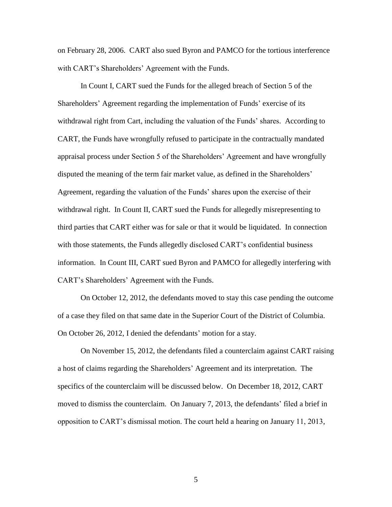on February 28, 2006. CART also sued Byron and PAMCO for the tortious interference with CART's Shareholders' Agreement with the Funds.

In Count I, CART sued the Funds for the alleged breach of Section 5 of the Shareholders" Agreement regarding the implementation of Funds" exercise of its withdrawal right from Cart, including the valuation of the Funds" shares. According to CART, the Funds have wrongfully refused to participate in the contractually mandated appraisal process under Section 5 of the Shareholders" Agreement and have wrongfully disputed the meaning of the term fair market value, as defined in the Shareholders' Agreement, regarding the valuation of the Funds" shares upon the exercise of their withdrawal right. In Count II, CART sued the Funds for allegedly misrepresenting to third parties that CART either was for sale or that it would be liquidated. In connection with those statements, the Funds allegedly disclosed CART"s confidential business information. In Count III, CART sued Byron and PAMCO for allegedly interfering with CART"s Shareholders" Agreement with the Funds.

On October 12, 2012, the defendants moved to stay this case pending the outcome of a case they filed on that same date in the Superior Court of the District of Columbia. On October 26, 2012, I denied the defendants' motion for a stay.

On November 15, 2012, the defendants filed a counterclaim against CART raising a host of claims regarding the Shareholders" Agreement and its interpretation. The specifics of the counterclaim will be discussed below. On December 18, 2012, CART moved to dismiss the counterclaim. On January 7, 2013, the defendants" filed a brief in opposition to CART"s dismissal motion. The court held a hearing on January 11, 2013,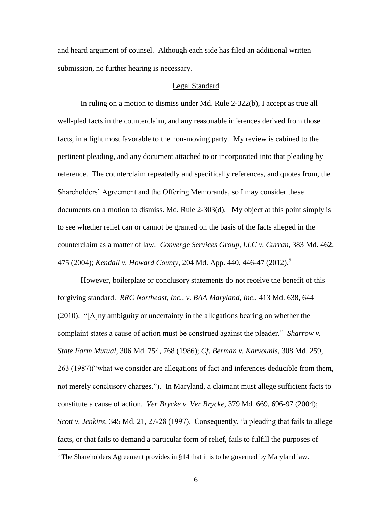and heard argument of counsel. Although each side has filed an additional written submission, no further hearing is necessary.

## Legal Standard

In ruling on a motion to dismiss under Md. Rule 2-322(b), I accept as true all well-pled facts in the counterclaim, and any reasonable inferences derived from those facts, in a light most favorable to the non-moving party. My review is cabined to the pertinent pleading, and any document attached to or incorporated into that pleading by reference. The counterclaim repeatedly and specifically references, and quotes from, the Shareholders" Agreement and the Offering Memoranda, so I may consider these documents on a motion to dismiss. Md. Rule 2-303(d). My object at this point simply is to see whether relief can or cannot be granted on the basis of the facts alleged in the counterclaim as a matter of law. *Converge Services Group, LLC v. Curran*, 383 Md. 462, 475 (2004); *Kendall v. Howard County*, 204 Md. App. 440, 446-47 (2012). 5

However, boilerplate or conclusory statements do not receive the benefit of this forgiving standard. *RRC Northeast, Inc., v. BAA Maryland, Inc*., 413 Md. 638, 644 (2010). "[A]ny ambiguity or uncertainty in the allegations bearing on whether the complaint states a cause of action must be construed against the pleader." *Sharrow v. State Farm Mutual*, 306 Md. 754, 768 (1986); *Cf*. *Berman v. Karvounis*, 308 Md. 259, 263 (1987)("what we consider are allegations of fact and inferences deducible from them, not merely conclusory charges."). In Maryland, a claimant must allege sufficient facts to constitute a cause of action. *Ver Brycke v. Ver Brycke*, 379 Md. 669, 696-97 (2004); *Scott v. Jenkins,* 345 Md. 21, 27-28 (1997). Consequently, "a pleading that fails to allege facts, or that fails to demand a particular form of relief, fails to fulfill the purposes of

 $<sup>5</sup>$  The Shareholders Agreement provides in §14 that it is to be governed by Maryland law.</sup>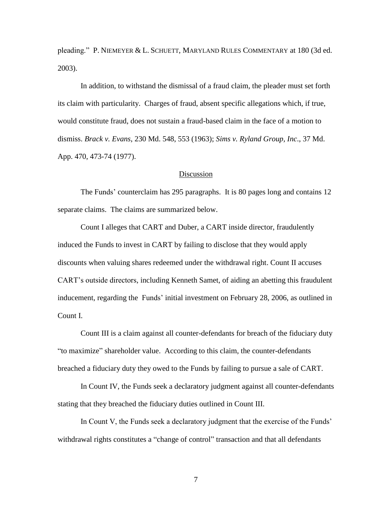pleading." P. NIEMEYER & L. SCHUETT, MARYLAND RULES COMMENTARY at 180 (3d ed. 2003).

In addition, to withstand the dismissal of a fraud claim, the pleader must set forth its claim with particularity. Charges of fraud, absent specific allegations which, if true, would constitute fraud, does not sustain a fraud-based claim in the face of a motion to dismiss. *Brack v. Evans*, 230 Md. 548, 553 (1963); *Sims v. Ryland Group, Inc*., 37 Md. App. 470, 473-74 (1977).

### Discussion

The Funds" counterclaim has 295 paragraphs. It is 80 pages long and contains 12 separate claims. The claims are summarized below.

Count I alleges that CART and Duber, a CART inside director, fraudulently induced the Funds to invest in CART by failing to disclose that they would apply discounts when valuing shares redeemed under the withdrawal right. Count II accuses CART"s outside directors, including Kenneth Samet, of aiding an abetting this fraudulent inducement, regarding the Funds' initial investment on February 28, 2006, as outlined in Count I.

Count III is a claim against all counter-defendants for breach of the fiduciary duty "to maximize" shareholder value. According to this claim, the counter-defendants breached a fiduciary duty they owed to the Funds by failing to pursue a sale of CART.

In Count IV, the Funds seek a declaratory judgment against all counter-defendants stating that they breached the fiduciary duties outlined in Count III.

In Count V, the Funds seek a declaratory judgment that the exercise of the Funds" withdrawal rights constitutes a "change of control" transaction and that all defendants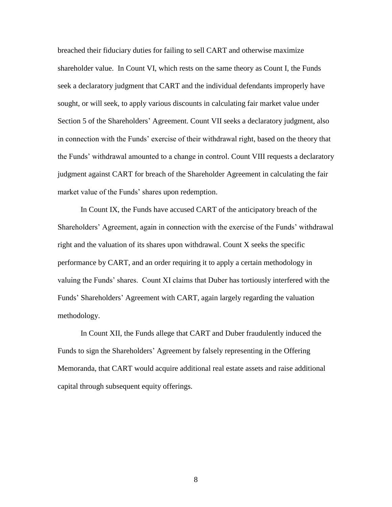breached their fiduciary duties for failing to sell CART and otherwise maximize shareholder value. In Count VI, which rests on the same theory as Count I, the Funds seek a declaratory judgment that CART and the individual defendants improperly have sought, or will seek, to apply various discounts in calculating fair market value under Section 5 of the Shareholders" Agreement. Count VII seeks a declaratory judgment, also in connection with the Funds" exercise of their withdrawal right, based on the theory that the Funds" withdrawal amounted to a change in control. Count VIII requests a declaratory judgment against CART for breach of the Shareholder Agreement in calculating the fair market value of the Funds' shares upon redemption.

In Count IX, the Funds have accused CART of the anticipatory breach of the Shareholders' Agreement, again in connection with the exercise of the Funds' withdrawal right and the valuation of its shares upon withdrawal. Count X seeks the specific performance by CART, and an order requiring it to apply a certain methodology in valuing the Funds" shares. Count XI claims that Duber has tortiously interfered with the Funds" Shareholders" Agreement with CART, again largely regarding the valuation methodology.

In Count XII, the Funds allege that CART and Duber fraudulently induced the Funds to sign the Shareholders" Agreement by falsely representing in the Offering Memoranda, that CART would acquire additional real estate assets and raise additional capital through subsequent equity offerings.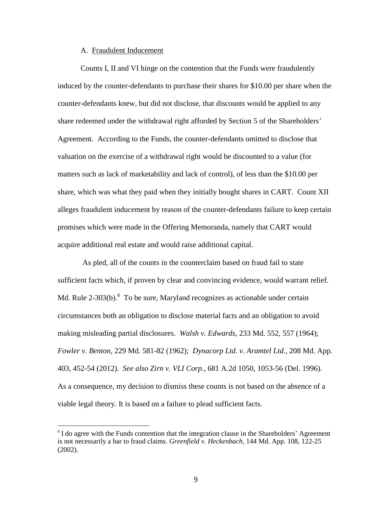#### A. Fraudulent Inducement

 $\overline{a}$ 

Counts I, II and VI hinge on the contention that the Funds were fraudulently induced by the counter-defendants to purchase their shares for \$10.00 per share when the counter-defendants knew, but did not disclose, that discounts would be applied to any share redeemed under the withdrawal right afforded by Section 5 of the Shareholders" Agreement. According to the Funds, the counter-defendants omitted to disclose that valuation on the exercise of a withdrawal right would be discounted to a value (for matters such as lack of marketability and lack of control), of less than the \$10.00 per share, which was what they paid when they initially bought shares in CART. Count XII alleges fraudulent inducement by reason of the counter-defendants failure to keep certain promises which were made in the Offering Memoranda, namely that CART would acquire additional real estate and would raise additional capital.

As pled, all of the counts in the counterclaim based on fraud fail to state sufficient facts which, if proven by clear and convincing evidence, would warrant relief. Md. Rule 2-303(b). $6$  To be sure, Maryland recognizes as actionable under certain circumstances both an obligation to disclose material facts and an obligation to avoid making misleading partial disclosures. *Walsh v. Edwards*, 233 Md. 552, 557 (1964); *Fowler v. Benton*, 229 Md. 581-82 (1962); *Dynacorp Ltd. v. Aramtel Ltd.,* 208 Md. App. 403, 452-54 (2012). *See also Zirn v. VLI Corp*., 681 A.2d 1050, 1053-56 (Del. 1996). As a consequence, my decision to dismiss these counts is not based on the absence of a viable legal theory. It is based on a failure to plead sufficient facts.

<sup>&</sup>lt;sup>6</sup> I do agree with the Funds contention that the integration clause in the Shareholders' Agreement is not necessarily a bar to fraud claims. *Greenfield v. Heckenbach*, 144 Md. App. 108, 122-25 (2002).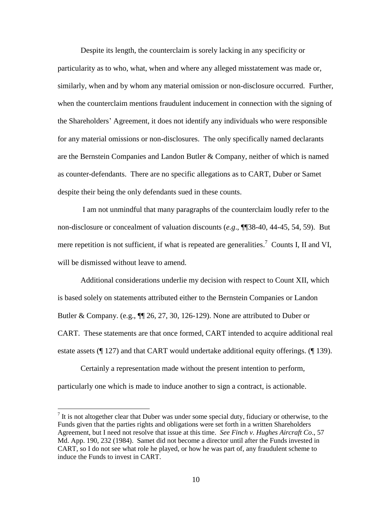Despite its length, the counterclaim is sorely lacking in any specificity or particularity as to who, what, when and where any alleged misstatement was made or, similarly, when and by whom any material omission or non-disclosure occurred. Further, when the counterclaim mentions fraudulent inducement in connection with the signing of the Shareholders" Agreement, it does not identify any individuals who were responsible for any material omissions or non-disclosures. The only specifically named declarants are the Bernstein Companies and Landon Butler & Company, neither of which is named as counter-defendants. There are no specific allegations as to CART, Duber or Samet despite their being the only defendants sued in these counts.

I am not unmindful that many paragraphs of the counterclaim loudly refer to the non-disclosure or concealment of valuation discounts (*e.g*., ¶¶38-40, 44-45, 54, 59). But mere repetition is not sufficient, if what is repeated are generalities.<sup>7</sup> Counts I, II and VI, will be dismissed without leave to amend.

Additional considerations underlie my decision with respect to Count XII, which is based solely on statements attributed either to the Bernstein Companies or Landon Butler & Company. (e.g.,  $\P$  $[26, 27, 30, 126-129)$ ). None are attributed to Duber or CART. These statements are that once formed, CART intended to acquire additional real estate assets (¶ 127) and that CART would undertake additional equity offerings. (¶ 139).

Certainly a representation made without the present intention to perform, particularly one which is made to induce another to sign a contract, is actionable.

 $<sup>7</sup>$  It is not altogether clear that Duber was under some special duty, fiduciary or otherwise, to the</sup> Funds given that the parties rights and obligations were set forth in a written Shareholders Agreement, but I need not resolve that issue at this time. *See Finch v. Hughes Aircraft Co*., 57 Md. App. 190, 232 (1984). Samet did not become a director until after the Funds invested in CART, so I do not see what role he played, or how he was part of, any fraudulent scheme to induce the Funds to invest in CART.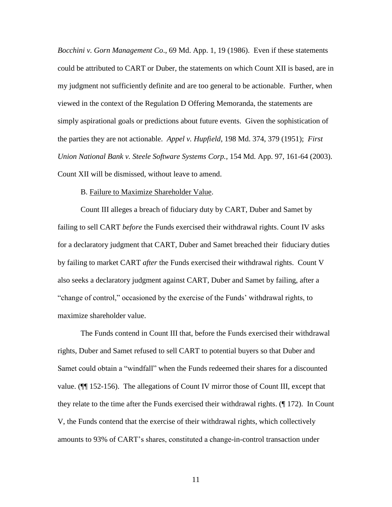*Bocchini v. Gorn Management Co*., 69 Md. App. 1, 19 (1986). Even if these statements could be attributed to CART or Duber, the statements on which Count XII is based, are in my judgment not sufficiently definite and are too general to be actionable. Further, when viewed in the context of the Regulation D Offering Memoranda, the statements are simply aspirational goals or predictions about future events. Given the sophistication of the parties they are not actionable. *Appel v. Hupfield*, 198 Md. 374, 379 (1951); *First Union National Bank v. Steele Software Systems Corp.,* 154 Md. App. 97, 161-64 (2003). Count XII will be dismissed, without leave to amend.

## B. Failure to Maximize Shareholder Value.

Count III alleges a breach of fiduciary duty by CART, Duber and Samet by failing to sell CART *before* the Funds exercised their withdrawal rights. Count IV asks for a declaratory judgment that CART, Duber and Samet breached their fiduciary duties by failing to market CART *after* the Funds exercised their withdrawal rights. Count V also seeks a declaratory judgment against CART, Duber and Samet by failing, after a "change of control," occasioned by the exercise of the Funds" withdrawal rights, to maximize shareholder value.

The Funds contend in Count III that, before the Funds exercised their withdrawal rights, Duber and Samet refused to sell CART to potential buyers so that Duber and Samet could obtain a "windfall" when the Funds redeemed their shares for a discounted value. (¶¶ 152-156). The allegations of Count IV mirror those of Count III, except that they relate to the time after the Funds exercised their withdrawal rights. (¶ 172). In Count V, the Funds contend that the exercise of their withdrawal rights, which collectively amounts to 93% of CART"s shares, constituted a change-in-control transaction under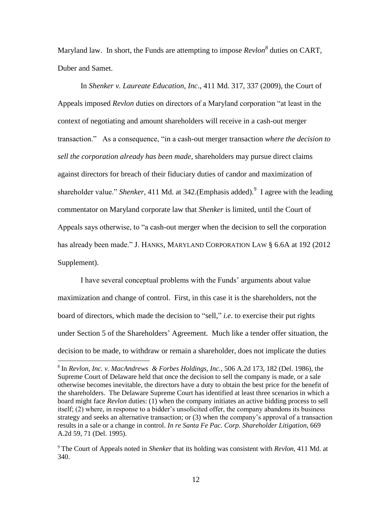Maryland law. In short, the Funds are attempting to impose *Revlon<sup>8</sup>* duties on CART, Duber and Samet.

In *Shenker v. Laureate Education, Inc*., 411 Md. 317, 337 (2009), the Court of Appeals imposed *Revlon* duties on directors of a Maryland corporation "at least in the context of negotiating and amount shareholders will receive in a cash-out merger transaction." As a consequence, "in a cash-out merger transaction *where the decision to sell the corporation already has been made*, shareholders may pursue direct claims against directors for breach of their fiduciary duties of candor and maximization of shareholder value." *Shenker*, 411 Md. at 342. (Emphasis added). <sup>9</sup> I agree with the leading commentator on Maryland corporate law that *Shenker* is limited, until the Court of Appeals says otherwise, to "a cash-out merger when the decision to sell the corporation has already been made." J. HANKS, MARYLAND CORPORATION LAW § 6.6A at 192 (2012 Supplement).

I have several conceptual problems with the Funds" arguments about value maximization and change of control. First, in this case it is the shareholders, not the board of directors, which made the decision to "sell," *i.e*. to exercise their put rights under Section 5 of the Shareholders" Agreement. Much like a tender offer situation, the decision to be made, to withdraw or remain a shareholder, does not implicate the duties

<sup>8</sup> In *Revlon, Inc. v. MacAndrews & Forbes Holdings, Inc.,* 506 A.2d 173, 182 (Del. 1986), the Supreme Court of Delaware held that once the decision to sell the company is made, or a sale otherwise becomes inevitable, the directors have a duty to obtain the best price for the benefit of the shareholders. The Delaware Supreme Court has identified at least three scenarios in which a board might face *Revlon* duties: (1) when the company initiates an active bidding process to sell itself; (2) where, in response to a bidder"s unsolicited offer, the company abandons its business strategy and seeks an alternative transaction; or (3) when the company"s approval of a transaction results in a sale or a change in control. *In re Santa Fe Pac. Corp. Shareholder Litigation*, 669 A.2d 59, 71 (Del. 1995).

<sup>9</sup> The Court of Appeals noted in *Shenker* that its holding was consistent with *Revlon*, 411 Md. at 340.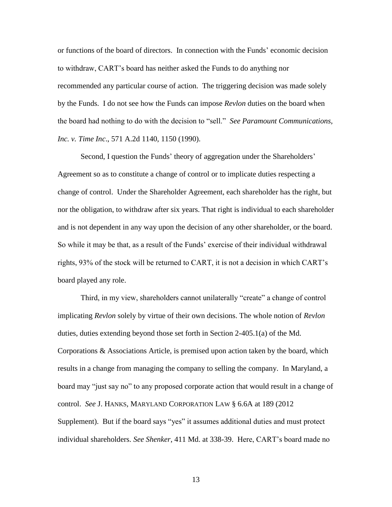or functions of the board of directors. In connection with the Funds" economic decision to withdraw, CART"s board has neither asked the Funds to do anything nor recommended any particular course of action. The triggering decision was made solely by the Funds. I do not see how the Funds can impose *Revlon* duties on the board when the board had nothing to do with the decision to "sell." *See Paramount Communications, Inc. v. Time Inc*., 571 A.2d 1140, 1150 (1990).

Second, I question the Funds' theory of aggregation under the Shareholders' Agreement so as to constitute a change of control or to implicate duties respecting a change of control. Under the Shareholder Agreement, each shareholder has the right, but nor the obligation, to withdraw after six years. That right is individual to each shareholder and is not dependent in any way upon the decision of any other shareholder, or the board. So while it may be that, as a result of the Funds" exercise of their individual withdrawal rights, 93% of the stock will be returned to CART, it is not a decision in which CART"s board played any role.

Third, in my view, shareholders cannot unilaterally "create" a change of control implicating *Revlon* solely by virtue of their own decisions. The whole notion of *Revlon*  duties, duties extending beyond those set forth in Section 2-405.1(a) of the Md. Corporations & Associations Article, is premised upon action taken by the board, which results in a change from managing the company to selling the company. In Maryland, a board may "just say no" to any proposed corporate action that would result in a change of control. *See* J. HANKS, MARYLAND CORPORATION LAW § 6.6A at 189 (2012 Supplement). But if the board says "yes" it assumes additional duties and must protect individual shareholders. *See Shenker*, 411 Md. at 338-39. Here, CART"s board made no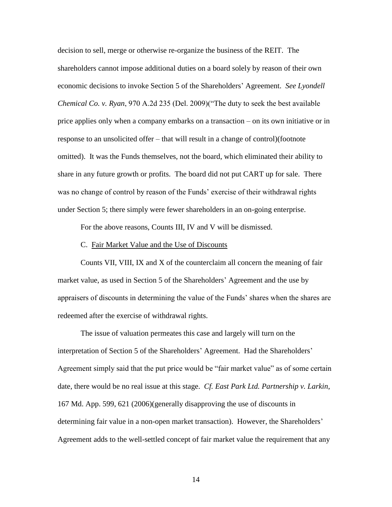decision to sell, merge or otherwise re-organize the business of the REIT. The shareholders cannot impose additional duties on a board solely by reason of their own economic decisions to invoke Section 5 of the Shareholders" Agreement. *See Lyondell Chemical Co. v. Ryan*, 970 A.2d 235 (Del. 2009)("The duty to seek the best available price applies only when a company embarks on a transaction – on its own initiative or in response to an unsolicited offer – that will result in a change of control)(footnote omitted). It was the Funds themselves, not the board, which eliminated their ability to share in any future growth or profits. The board did not put CART up for sale. There was no change of control by reason of the Funds" exercise of their withdrawal rights under Section 5; there simply were fewer shareholders in an on-going enterprise.

For the above reasons, Counts III, IV and V will be dismissed.

#### C. Fair Market Value and the Use of Discounts

Counts VII, VIII, IX and X of the counterclaim all concern the meaning of fair market value, as used in Section 5 of the Shareholders" Agreement and the use by appraisers of discounts in determining the value of the Funds" shares when the shares are redeemed after the exercise of withdrawal rights.

The issue of valuation permeates this case and largely will turn on the interpretation of Section 5 of the Shareholders" Agreement. Had the Shareholders" Agreement simply said that the put price would be "fair market value" as of some certain date, there would be no real issue at this stage. *Cf. East Park Ltd. Partnership v. Larkin*, 167 Md. App. 599, 621 (2006)(generally disapproving the use of discounts in determining fair value in a non-open market transaction). However, the Shareholders' Agreement adds to the well-settled concept of fair market value the requirement that any